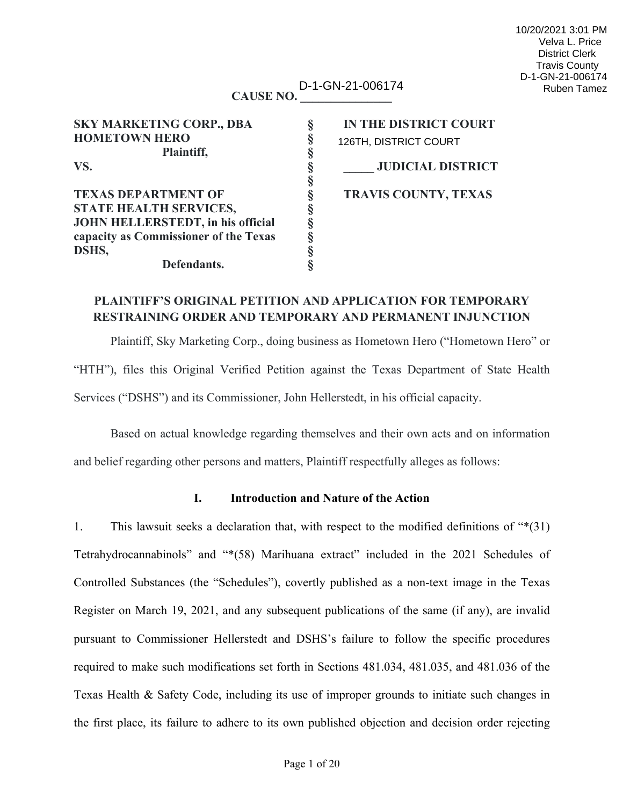#### **CAUSE NO. \_\_\_\_\_\_\_\_\_\_\_\_\_\_\_** D-1-GN-21-006174 Ruben Tamez

**§ § § § § §**

| <b>SKY MARKETING CORP., DBA</b>          | ş |
|------------------------------------------|---|
| <b>HOMETOWN HERO</b>                     | Ş |
| Plaintiff,                               | § |
| VS.                                      | ş |
|                                          | § |
| <b>TEXAS DEPARTMENT OF</b>               | § |
| <b>STATE HEALTH SERVICES,</b>            | Ş |
| <b>JOHN HELLERSTEDT, in his official</b> | ş |
| capacity as Commissioner of the Texas    | ş |
| DSHS,                                    | § |
| Defendants.                              | 8 |

**IN THE DISTRICT COURT VS. § \_\_\_\_\_ JUDICIAL DISTRICT** 126TH, DISTRICT COURT

**TRAVIS COUNTY, TEXAS**

# **PLAINTIFF'S ORIGINAL PETITION AND APPLICATION FOR TEMPORARY RESTRAINING ORDER AND TEMPORARY AND PERMANENT INJUNCTION**

Plaintiff, Sky Marketing Corp., doing business as Hometown Hero ("Hometown Hero" or "HTH"), files this Original Verified Petition against the Texas Department of State Health Services ("DSHS") and its Commissioner, John Hellerstedt, in his official capacity.

Based on actual knowledge regarding themselves and their own acts and on information and belief regarding other persons and matters, Plaintiff respectfully alleges as follows:

# **I. Introduction and Nature of the Action**

1. This lawsuit seeks a declaration that, with respect to the modified definitions of "\*(31) Tetrahydrocannabinols" and "\*(58) Marihuana extract" included in the 2021 Schedules of Controlled Substances (the "Schedules"), covertly published as a non-text image in the Texas Register on March 19, 2021, and any subsequent publications of the same (if any), are invalid pursuant to Commissioner Hellerstedt and DSHS's failure to follow the specific procedures required to make such modifications set forth in Sections 481.034, 481.035, and 481.036 of the Texas Health & Safety Code, including its use of improper grounds to initiate such changes in the first place, its failure to adhere to its own published objection and decision order rejecting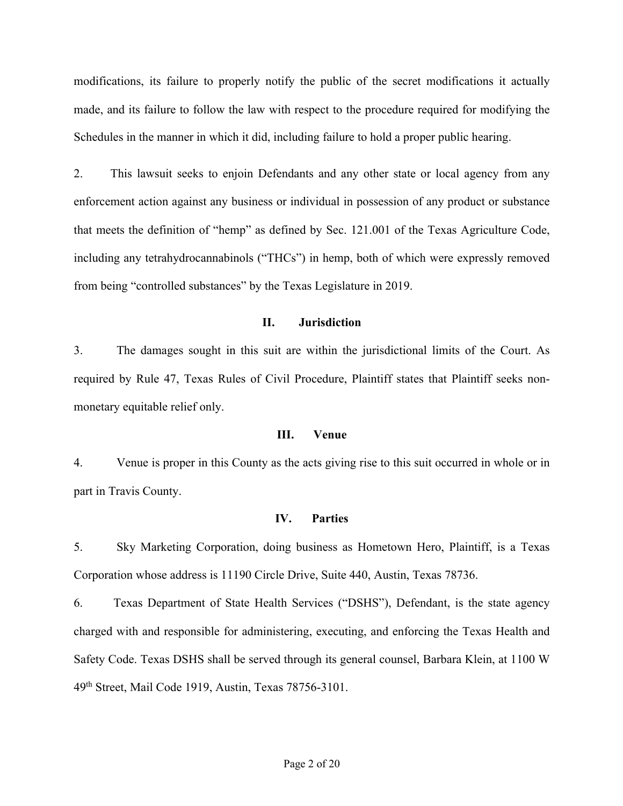modifications, its failure to properly notify the public of the secret modifications it actually made, and its failure to follow the law with respect to the procedure required for modifying the Schedules in the manner in which it did, including failure to hold a proper public hearing.

2. This lawsuit seeks to enjoin Defendants and any other state or local agency from any enforcement action against any business or individual in possession of any product or substance that meets the definition of "hemp" as defined by Sec. 121.001 of the Texas Agriculture Code, including any tetrahydrocannabinols ("THCs") in hemp, both of which were expressly removed from being "controlled substances" by the Texas Legislature in 2019.

# **II. Jurisdiction**

3. The damages sought in this suit are within the jurisdictional limits of the Court. As required by Rule 47, Texas Rules of Civil Procedure, Plaintiff states that Plaintiff seeks nonmonetary equitable relief only.

#### **III. Venue**

4. Venue is proper in this County as the acts giving rise to this suit occurred in whole or in part in Travis County.

#### **IV. Parties**

5. Sky Marketing Corporation, doing business as Hometown Hero, Plaintiff, is a Texas Corporation whose address is 11190 Circle Drive, Suite 440, Austin, Texas 78736.

6. Texas Department of State Health Services ("DSHS"), Defendant, is the state agency charged with and responsible for administering, executing, and enforcing the Texas Health and Safety Code. Texas DSHS shall be served through its general counsel, Barbara Klein, at 1100 W 49th Street, Mail Code 1919, Austin, Texas 78756-3101.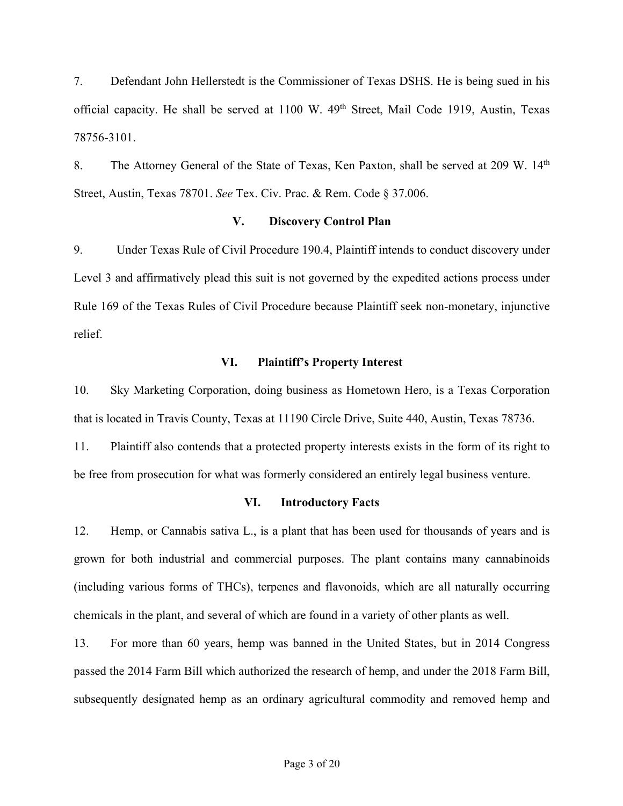7. Defendant John Hellerstedt is the Commissioner of Texas DSHS. He is being sued in his official capacity. He shall be served at 1100 W. 49<sup>th</sup> Street, Mail Code 1919, Austin, Texas 78756-3101.

8. The Attorney General of the State of Texas, Ken Paxton, shall be served at 209 W. 14<sup>th</sup> Street, Austin, Texas 78701. *See* Tex. Civ. Prac. & Rem. Code § 37.006.

### **V. Discovery Control Plan**

9. Under Texas Rule of Civil Procedure 190.4, Plaintiff intends to conduct discovery under Level 3 and affirmatively plead this suit is not governed by the expedited actions process under Rule 169 of the Texas Rules of Civil Procedure because Plaintiff seek non-monetary, injunctive relief.

#### **VI. Plaintiff's Property Interest**

10. Sky Marketing Corporation, doing business as Hometown Hero, is a Texas Corporation that is located in Travis County, Texas at 11190 Circle Drive, Suite 440, Austin, Texas 78736.

11. Plaintiff also contends that a protected property interests exists in the form of its right to be free from prosecution for what was formerly considered an entirely legal business venture.

#### **VI. Introductory Facts**

12. Hemp, or Cannabis sativa L., is a plant that has been used for thousands of years and is grown for both industrial and commercial purposes. The plant contains many cannabinoids (including various forms of THCs), terpenes and flavonoids, which are all naturally occurring chemicals in the plant, and several of which are found in a variety of other plants as well.

13. For more than 60 years, hemp was banned in the United States, but in 2014 Congress passed the 2014 Farm Bill which authorized the research of hemp, and under the 2018 Farm Bill, subsequently designated hemp as an ordinary agricultural commodity and removed hemp and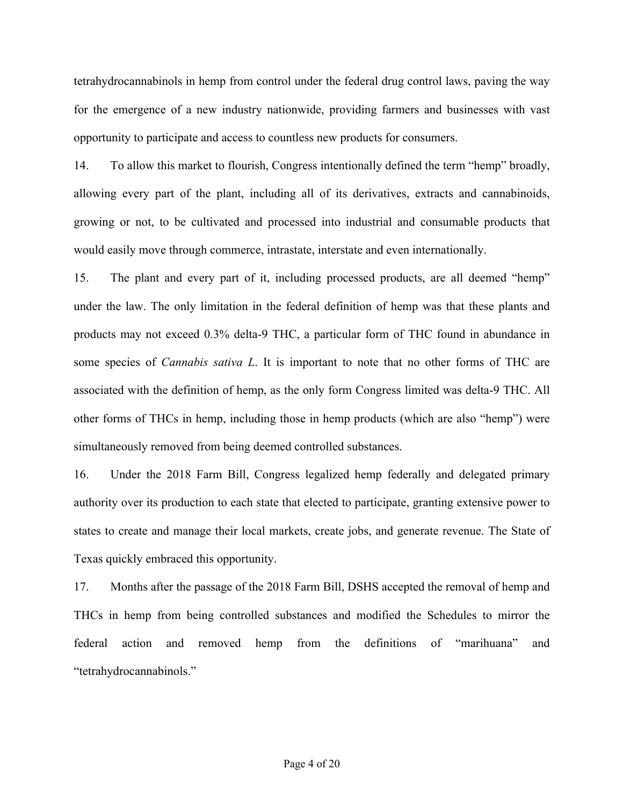tetrahydrocannabinols in hemp from control under the federal drug control laws, paving the way for the emergence of a new industry nationwide, providing farmers and businesses with vast opportunity to participate and access to countless new products for consumers.

14. To allow this market to flourish, Congress intentionally defined the term "hemp" broadly, allowing every part of the plant, including all of its derivatives, extracts and cannabinoids, growing or not, to be cultivated and processed into industrial and consumable products that would easily move through commerce, intrastate, interstate and even internationally.

15. The plant and every part of it, including processed products, are all deemed "hemp" under the law. The only limitation in the federal definition of hemp was that these plants and products may not exceed 0.3% delta-9 THC, a particular form of THC found in abundance in some species of *Cannabis sativa L*. It is important to note that no other forms of THC are associated with the definition of hemp, as the only form Congress limited was delta-9 THC. All other forms of THCs in hemp, including those in hemp products (which are also "hemp") were simultaneously removed from being deemed controlled substances.

16. Under the 2018 Farm Bill, Congress legalized hemp federally and delegated primary authority over its production to each state that elected to participate, granting extensive power to states to create and manage their local markets, create jobs, and generate revenue. The State of Texas quickly embraced this opportunity.

17. Months after the passage of the 2018 Farm Bill, DSHS accepted the removal of hemp and THCs in hemp from being controlled substances and modified the Schedules to mirror the federal action and removed hemp from the definitions of "marihuana" and "tetrahydrocannabinols."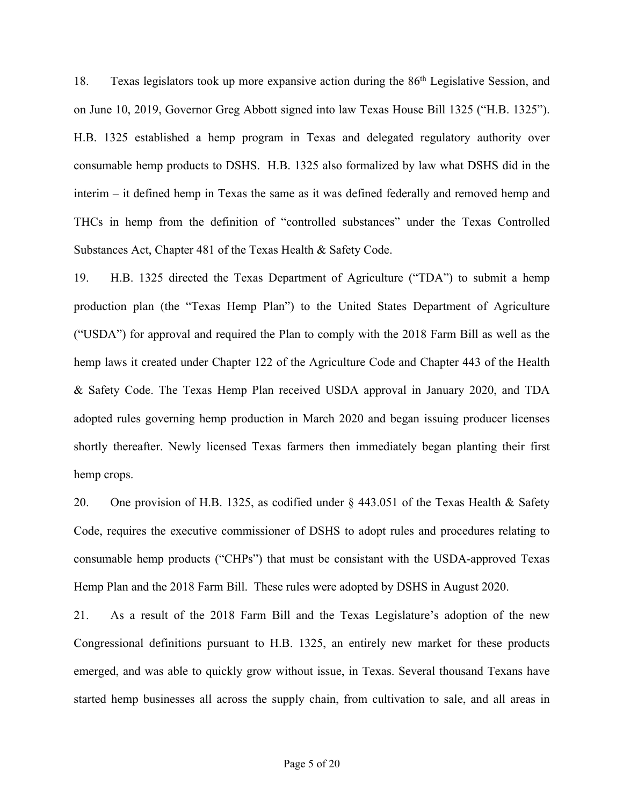18. Texas legislators took up more expansive action during the 86th Legislative Session, and on June 10, 2019, Governor Greg Abbott signed into law Texas House Bill 1325 ("H.B. 1325"). H.B. 1325 established a hemp program in Texas and delegated regulatory authority over consumable hemp products to DSHS. H.B. 1325 also formalized by law what DSHS did in the interim – it defined hemp in Texas the same as it was defined federally and removed hemp and THCs in hemp from the definition of "controlled substances" under the Texas Controlled Substances Act, Chapter 481 of the Texas Health & Safety Code.

19. H.B. 1325 directed the Texas Department of Agriculture ("TDA") to submit a hemp production plan (the "Texas Hemp Plan") to the United States Department of Agriculture ("USDA") for approval and required the Plan to comply with the 2018 Farm Bill as well as the hemp laws it created under Chapter 122 of the Agriculture Code and Chapter 443 of the Health & Safety Code. The Texas Hemp Plan received USDA approval in January 2020, and TDA adopted rules governing hemp production in March 2020 and began issuing producer licenses shortly thereafter. Newly licensed Texas farmers then immediately began planting their first hemp crops.

20. One provision of H.B. 1325, as codified under § 443.051 of the Texas Health & Safety Code, requires the executive commissioner of DSHS to adopt rules and procedures relating to consumable hemp products ("CHPs") that must be consistant with the USDA-approved Texas Hemp Plan and the 2018 Farm Bill. These rules were adopted by DSHS in August 2020.

21. As a result of the 2018 Farm Bill and the Texas Legislature's adoption of the new Congressional definitions pursuant to H.B. 1325, an entirely new market for these products emerged, and was able to quickly grow without issue, in Texas. Several thousand Texans have started hemp businesses all across the supply chain, from cultivation to sale, and all areas in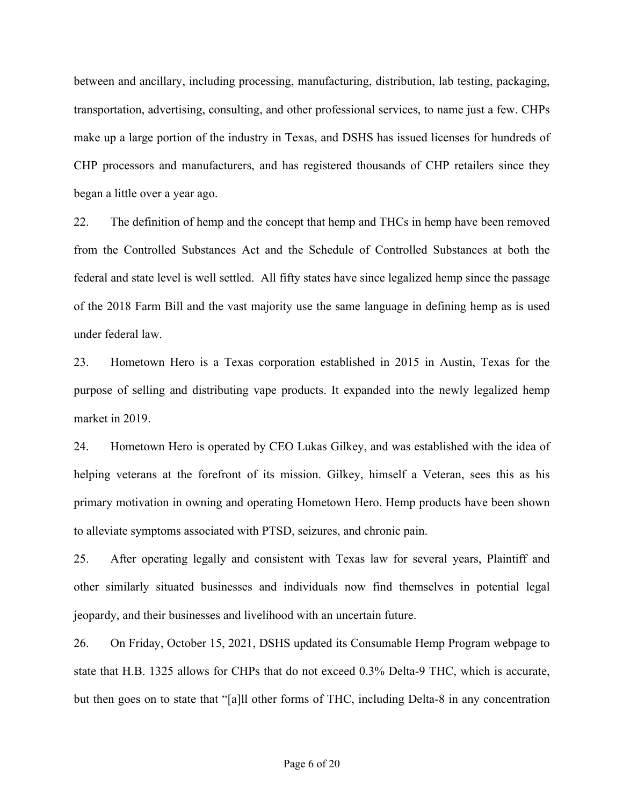between and ancillary, including processing, manufacturing, distribution, lab testing, packaging, transportation, advertising, consulting, and other professional services, to name just a few. CHPs make up a large portion of the industry in Texas, and DSHS has issued licenses for hundreds of CHP processors and manufacturers, and has registered thousands of CHP retailers since they began a little over a year ago.

22. The definition of hemp and the concept that hemp and THCs in hemp have been removed from the Controlled Substances Act and the Schedule of Controlled Substances at both the federal and state level is well settled. All fifty states have since legalized hemp since the passage of the 2018 Farm Bill and the vast majority use the same language in defining hemp as is used under federal law.

23. Hometown Hero is a Texas corporation established in 2015 in Austin, Texas for the purpose of selling and distributing vape products. It expanded into the newly legalized hemp market in 2019.

24. Hometown Hero is operated by CEO Lukas Gilkey, and was established with the idea of helping veterans at the forefront of its mission. Gilkey, himself a Veteran, sees this as his primary motivation in owning and operating Hometown Hero. Hemp products have been shown to alleviate symptoms associated with PTSD, seizures, and chronic pain.

25. After operating legally and consistent with Texas law for several years, Plaintiff and other similarly situated businesses and individuals now find themselves in potential legal jeopardy, and their businesses and livelihood with an uncertain future.

26. On Friday, October 15, 2021, DSHS updated its Consumable Hemp Program webpage to state that H.B. 1325 allows for CHPs that do not exceed 0.3% Delta-9 THC, which is accurate, but then goes on to state that "[a]ll other forms of THC, including Delta-8 in any concentration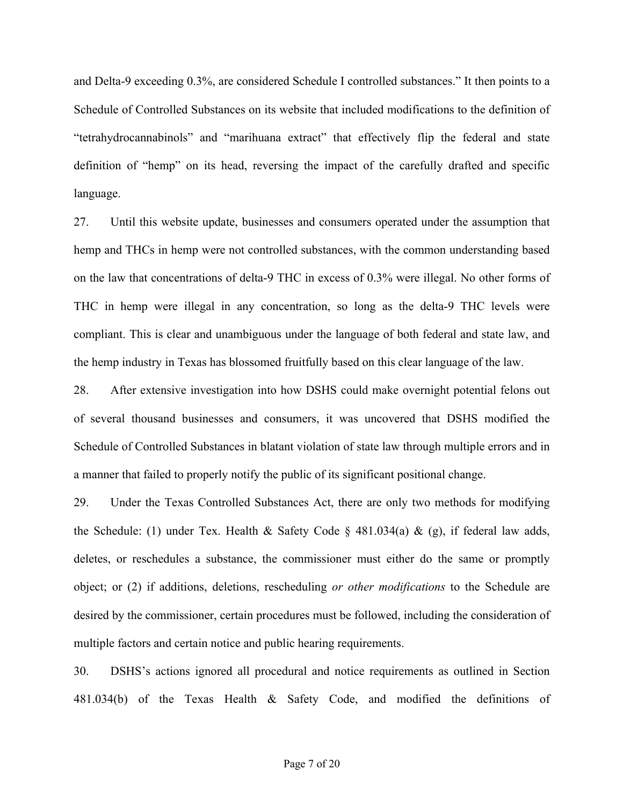and Delta-9 exceeding 0.3%, are considered Schedule I controlled substances." It then points to a Schedule of Controlled Substances on its website that included modifications to the definition of "tetrahydrocannabinols" and "marihuana extract" that effectively flip the federal and state definition of "hemp" on its head, reversing the impact of the carefully drafted and specific language.

27. Until this website update, businesses and consumers operated under the assumption that hemp and THCs in hemp were not controlled substances, with the common understanding based on the law that concentrations of delta-9 THC in excess of 0.3% were illegal. No other forms of THC in hemp were illegal in any concentration, so long as the delta-9 THC levels were compliant. This is clear and unambiguous under the language of both federal and state law, and the hemp industry in Texas has blossomed fruitfully based on this clear language of the law.

28. After extensive investigation into how DSHS could make overnight potential felons out of several thousand businesses and consumers, it was uncovered that DSHS modified the Schedule of Controlled Substances in blatant violation of state law through multiple errors and in a manner that failed to properly notify the public of its significant positional change.

29. Under the Texas Controlled Substances Act, there are only two methods for modifying the Schedule: (1) under Tex. Health & Safety Code  $\S$  481.034(a) & (g), if federal law adds, deletes, or reschedules a substance, the commissioner must either do the same or promptly object; or (2) if additions, deletions, rescheduling *or other modifications* to the Schedule are desired by the commissioner, certain procedures must be followed, including the consideration of multiple factors and certain notice and public hearing requirements.

30. DSHS's actions ignored all procedural and notice requirements as outlined in Section 481.034(b) of the Texas Health & Safety Code, and modified the definitions of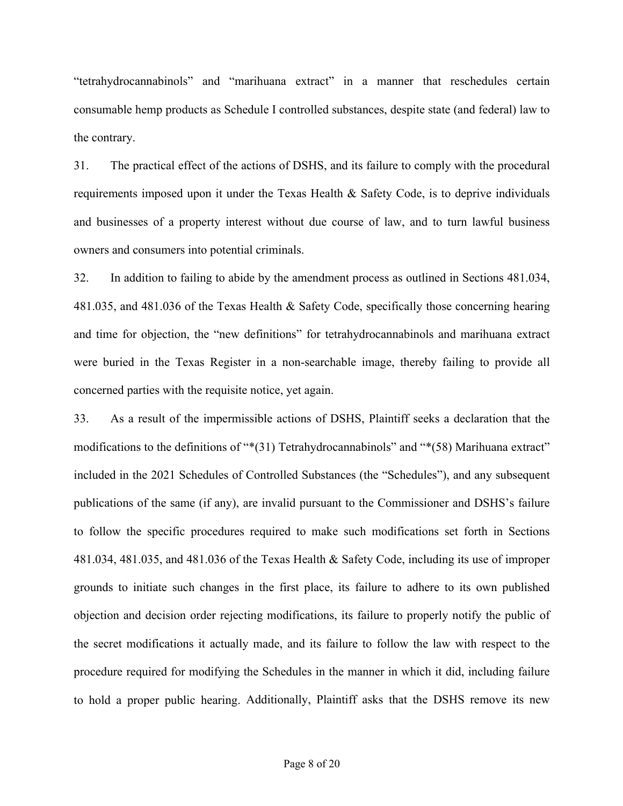"tetrahydrocannabinols" and "marihuana extract" in a manner that reschedules certain consumable hemp products as Schedule I controlled substances, despite state (and federal) law to the contrary.

31. The practical effect of the actions of DSHS, and its failure to comply with the procedural requirements imposed upon it under the Texas Health & Safety Code, is to deprive individuals and businesses of a property interest without due course of law, and to turn lawful business owners and consumers into potential criminals.

32. In addition to failing to abide by the amendment process as outlined in Sections 481.034, 481.035, and 481.036 of the Texas Health & Safety Code, specifically those concerning hearing and time for objection, the "new definitions" for tetrahydrocannabinols and marihuana extract were buried in the Texas Register in a non-searchable image, thereby failing to provide all concerned parties with the requisite notice, yet again.

33. As a result of the impermissible actions of DSHS, Plaintiff seeks a declaration that the modifications to the definitions of "\*(31) Tetrahydrocannabinols" and "\*(58) Marihuana extract" included in the 2021 Schedules of Controlled Substances (the "Schedules"), and any subsequent publications of the same (if any), are invalid pursuant to the Commissioner and DSHS's failure to follow the specific procedures required to make such modifications set forth in Sections 481.034, 481.035, and 481.036 of the Texas Health & Safety Code, including its use of improper grounds to initiate such changes in the first place, its failure to adhere to its own published objection and decision order rejecting modifications, its failure to properly notify the public of the secret modifications it actually made, and its failure to follow the law with respect to the procedure required for modifying the Schedules in the manner in which it did, including failure to hold a proper public hearing. Additionally, Plaintiff asks that the DSHS remove its new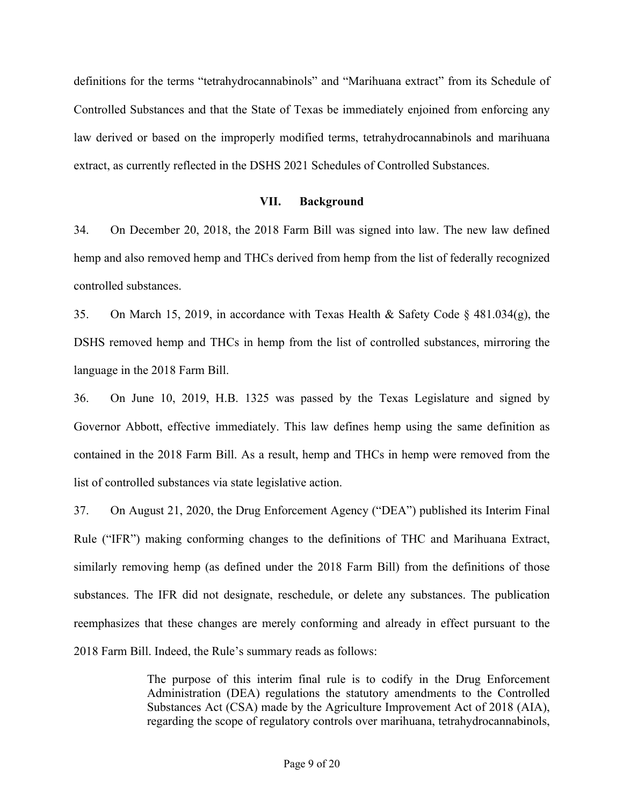definitions for the terms "tetrahydrocannabinols" and "Marihuana extract" from its Schedule of Controlled Substances and that the State of Texas be immediately enjoined from enforcing any law derived or based on the improperly modified terms, tetrahydrocannabinols and marihuana extract, as currently reflected in the DSHS 2021 Schedules of Controlled Substances.

#### **VII. Background**

34. On December 20, 2018, the 2018 Farm Bill was signed into law. The new law defined hemp and also removed hemp and THCs derived from hemp from the list of federally recognized controlled substances.

35. On March 15, 2019, in accordance with Texas Health & Safety Code § 481.034(g), the DSHS removed hemp and THCs in hemp from the list of controlled substances, mirroring the language in the 2018 Farm Bill.

36. On June 10, 2019, H.B. 1325 was passed by the Texas Legislature and signed by Governor Abbott, effective immediately. This law defines hemp using the same definition as contained in the 2018 Farm Bill. As a result, hemp and THCs in hemp were removed from the list of controlled substances via state legislative action.

37. On August 21, 2020, the Drug Enforcement Agency ("DEA") published its Interim Final Rule ("IFR") making conforming changes to the definitions of THC and Marihuana Extract, similarly removing hemp (as defined under the 2018 Farm Bill) from the definitions of those substances. The IFR did not designate, reschedule, or delete any substances. The publication reemphasizes that these changes are merely conforming and already in effect pursuant to the 2018 Farm Bill. Indeed, the Rule's summary reads as follows:

> The purpose of this interim final rule is to codify in the Drug Enforcement Administration (DEA) regulations the statutory amendments to the Controlled Substances Act (CSA) made by the Agriculture Improvement Act of 2018 (AIA), regarding the scope of regulatory controls over marihuana, tetrahydrocannabinols,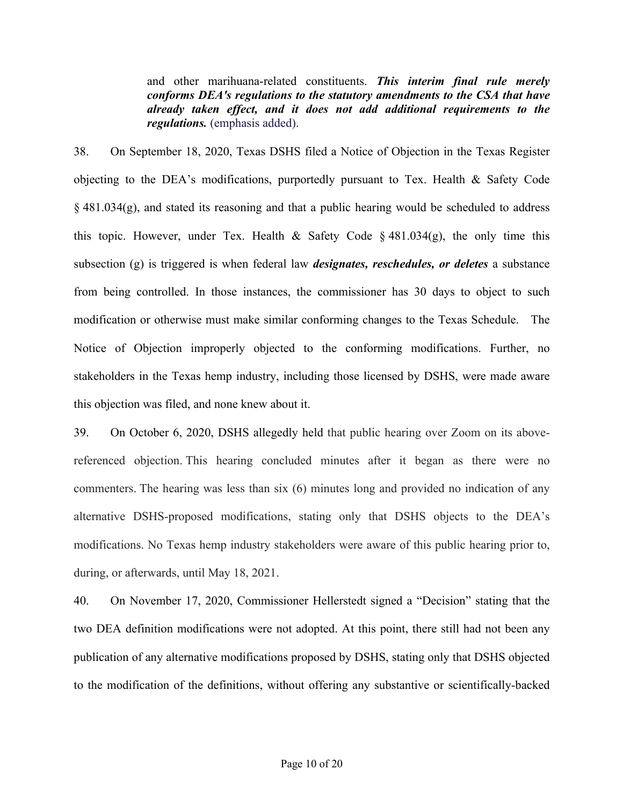and other marihuana-related constituents. *This interim final rule merely conforms DEA's regulations to the statutory amendments to the CSA that have already taken effect, and it does not add additional requirements to the regulations.* (emphasis added).

38. On September 18, 2020, Texas DSHS filed a Notice of Objection in the Texas Register objecting to the DEA's modifications, purportedly pursuant to Tex. Health & Safety Code § 481.034(g), and stated its reasoning and that a public hearing would be scheduled to address this topic. However, under Tex. Health & Safety Code  $\S$  481.034(g), the only time this subsection (g) is triggered is when federal law *designates, reschedules, or deletes* a substance from being controlled. In those instances, the commissioner has 30 days to object to such modification or otherwise must make similar conforming changes to the Texas Schedule. The Notice of Objection improperly objected to the conforming modifications. Further, no stakeholders in the Texas hemp industry, including those licensed by DSHS, were made aware this objection was filed, and none knew about it.

39. On October 6, 2020, DSHS allegedly held that public hearing over Zoom on its abovereferenced objection. This hearing concluded minutes after it began as there were no commenters. The hearing was less than six (6) minutes long and provided no indication of any alternative DSHS-proposed modifications, stating only that DSHS objects to the DEA's modifications. No Texas hemp industry stakeholders were aware of this public hearing prior to, during, or afterwards, until May 18, 2021.

40. On November 17, 2020, Commissioner Hellerstedt signed a "Decision" stating that the two DEA definition modifications were not adopted. At this point, there still had not been any publication of any alternative modifications proposed by DSHS, stating only that DSHS objected to the modification of the definitions, without offering any substantive or scientifically-backed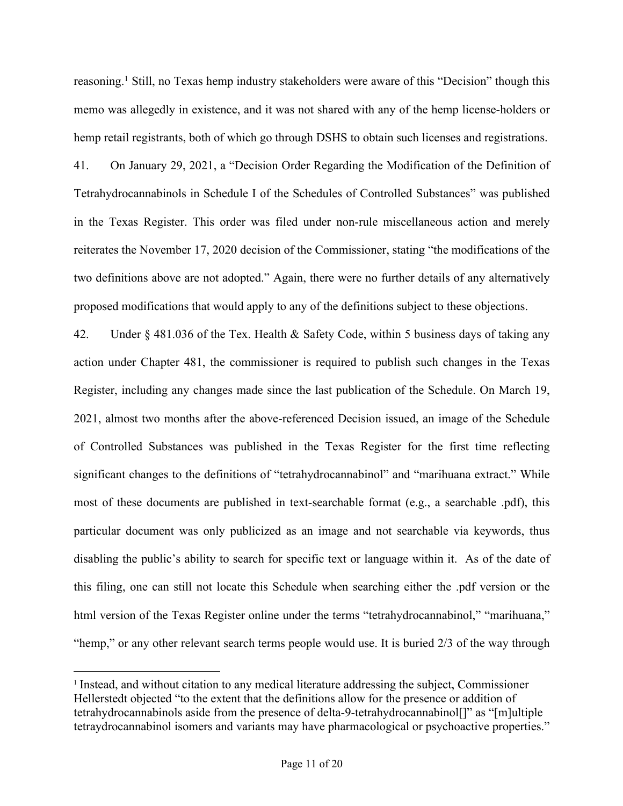reasoning.<sup>1</sup> Still, no Texas hemp industry stakeholders were aware of this "Decision" though this memo was allegedly in existence, and it was not shared with any of the hemp license-holders or hemp retail registrants, both of which go through DSHS to obtain such licenses and registrations.

41. On January 29, 2021, a "Decision Order Regarding the Modification of the Definition of Tetrahydrocannabinols in Schedule I of the Schedules of Controlled Substances" was published in the Texas Register. This order was filed under non-rule miscellaneous action and merely reiterates the November 17, 2020 decision of the Commissioner, stating "the modifications of the two definitions above are not adopted." Again, there were no further details of any alternatively proposed modifications that would apply to any of the definitions subject to these objections.

42. Under § 481.036 of the Tex. Health & Safety Code, within 5 business days of taking any action under Chapter 481, the commissioner is required to publish such changes in the Texas Register, including any changes made since the last publication of the Schedule. On March 19, 2021, almost two months after the above-referenced Decision issued, an image of the Schedule of Controlled Substances was published in the Texas Register for the first time reflecting significant changes to the definitions of "tetrahydrocannabinol" and "marihuana extract." While most of these documents are published in text-searchable format (e.g., a searchable .pdf), this particular document was only publicized as an image and not searchable via keywords, thus disabling the public's ability to search for specific text or language within it. As of the date of this filing, one can still not locate this Schedule when searching either the .pdf version or the html version of the Texas Register online under the terms "tetrahydrocannabinol," "marihuana," "hemp," or any other relevant search terms people would use. It is buried 2/3 of the way through

<sup>&</sup>lt;sup>1</sup> Instead, and without citation to any medical literature addressing the subject, Commissioner Hellerstedt objected "to the extent that the definitions allow for the presence or addition of tetrahydrocannabinols aside from the presence of delta-9-tetrahydrocannabinol[]" as "[m]ultiple tetraydrocannabinol isomers and variants may have pharmacological or psychoactive properties."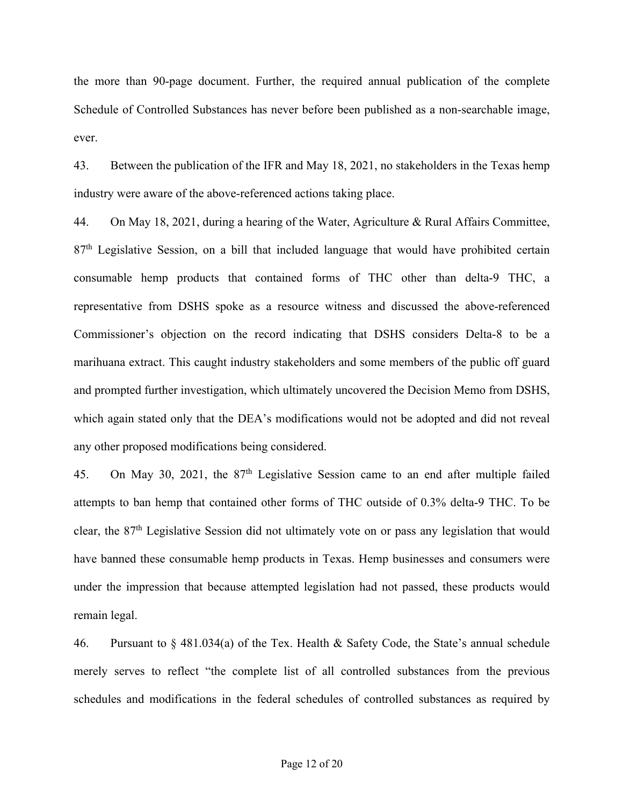the more than 90-page document. Further, the required annual publication of the complete Schedule of Controlled Substances has never before been published as a non-searchable image, ever.

43. Between the publication of the IFR and May 18, 2021, no stakeholders in the Texas hemp industry were aware of the above-referenced actions taking place.

44. On May 18, 2021, during a hearing of the Water, Agriculture & Rural Affairs Committee,  $87<sup>th</sup>$  Legislative Session, on a bill that included language that would have prohibited certain consumable hemp products that contained forms of THC other than delta-9 THC, a representative from DSHS spoke as a resource witness and discussed the above-referenced Commissioner's objection on the record indicating that DSHS considers Delta-8 to be a marihuana extract. This caught industry stakeholders and some members of the public off guard and prompted further investigation, which ultimately uncovered the Decision Memo from DSHS, which again stated only that the DEA's modifications would not be adopted and did not reveal any other proposed modifications being considered.

45. On May 30, 2021, the  $87<sup>th</sup>$  Legislative Session came to an end after multiple failed attempts to ban hemp that contained other forms of THC outside of 0.3% delta-9 THC. To be clear, the 87th Legislative Session did not ultimately vote on or pass any legislation that would have banned these consumable hemp products in Texas. Hemp businesses and consumers were under the impression that because attempted legislation had not passed, these products would remain legal.

46. Pursuant to § 481.034(a) of the Tex. Health & Safety Code, the State's annual schedule merely serves to reflect "the complete list of all controlled substances from the previous schedules and modifications in the federal schedules of controlled substances as required by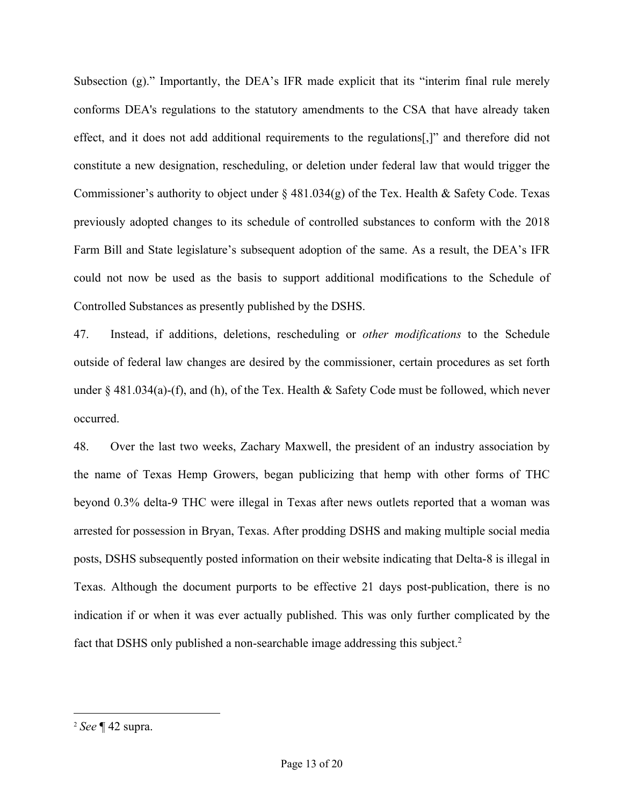Subsection (g)." Importantly, the DEA's IFR made explicit that its "interim final rule merely conforms DEA's regulations to the statutory amendments to the CSA that have already taken effect, and it does not add additional requirements to the regulations[,]" and therefore did not constitute a new designation, rescheduling, or deletion under federal law that would trigger the Commissioner's authority to object under  $\S$  481.034(g) of the Tex. Health & Safety Code. Texas previously adopted changes to its schedule of controlled substances to conform with the 2018 Farm Bill and State legislature's subsequent adoption of the same. As a result, the DEA's IFR could not now be used as the basis to support additional modifications to the Schedule of Controlled Substances as presently published by the DSHS.

47. Instead, if additions, deletions, rescheduling or *other modifications* to the Schedule outside of federal law changes are desired by the commissioner, certain procedures as set forth under § 481.034(a)-(f), and (h), of the Tex. Health & Safety Code must be followed, which never occurred.

48. Over the last two weeks, Zachary Maxwell, the president of an industry association by the name of Texas Hemp Growers, began publicizing that hemp with other forms of THC beyond 0.3% delta-9 THC were illegal in Texas after news outlets reported that a woman was arrested for possession in Bryan, Texas. After prodding DSHS and making multiple social media posts, DSHS subsequently posted information on their website indicating that Delta-8 is illegal in Texas. Although the document purports to be effective 21 days post-publication, there is no indication if or when it was ever actually published. This was only further complicated by the fact that DSHS only published a non-searchable image addressing this subject.<sup>2</sup>

<sup>2</sup> *See* ¶ 42 supra.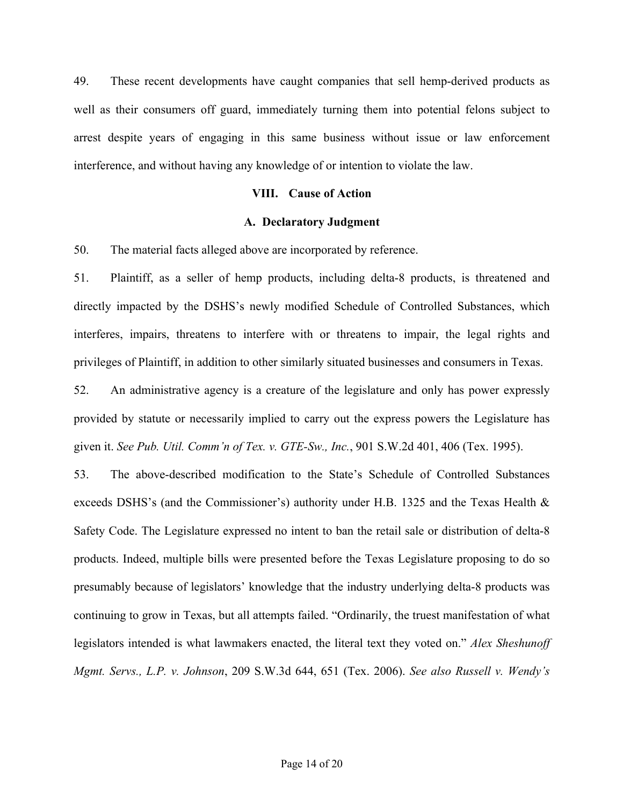49. These recent developments have caught companies that sell hemp-derived products as well as their consumers off guard, immediately turning them into potential felons subject to arrest despite years of engaging in this same business without issue or law enforcement interference, and without having any knowledge of or intention to violate the law.

#### **VIII. Cause of Action**

#### **A. Declaratory Judgment**

50. The material facts alleged above are incorporated by reference.

51. Plaintiff, as a seller of hemp products, including delta-8 products, is threatened and directly impacted by the DSHS's newly modified Schedule of Controlled Substances, which interferes, impairs, threatens to interfere with or threatens to impair, the legal rights and privileges of Plaintiff, in addition to other similarly situated businesses and consumers in Texas.

52. An administrative agency is a creature of the legislature and only has power expressly provided by statute or necessarily implied to carry out the express powers the Legislature has given it. *See Pub. Util. Comm'n of Tex. v. GTE-Sw., Inc.*, 901 S.W.2d 401, 406 (Tex. 1995).

53. The above-described modification to the State's Schedule of Controlled Substances exceeds DSHS's (and the Commissioner's) authority under H.B. 1325 and the Texas Health & Safety Code. The Legislature expressed no intent to ban the retail sale or distribution of delta-8 products. Indeed, multiple bills were presented before the Texas Legislature proposing to do so presumably because of legislators' knowledge that the industry underlying delta-8 products was continuing to grow in Texas, but all attempts failed. "Ordinarily, the truest manifestation of what legislators intended is what lawmakers enacted, the literal text they voted on." *Alex Sheshunoff Mgmt. Servs., L.P. v. Johnson*, 209 S.W.3d 644, 651 (Tex. 2006). *See also Russell v. Wendy's*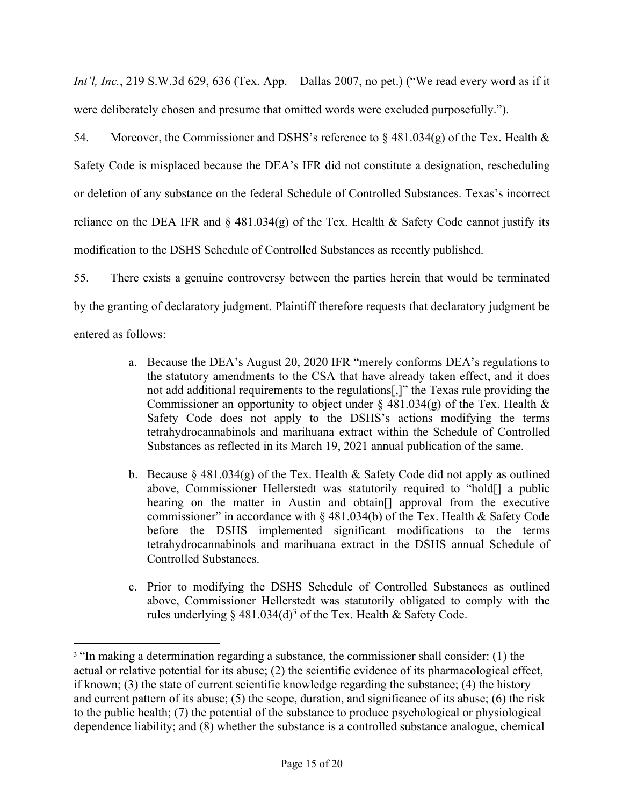*Int'l, Inc.*, 219 S.W.3d 629, 636 (Tex. App. – Dallas 2007, no pet.) ("We read every word as if it were deliberately chosen and presume that omitted words were excluded purposefully.").

54. Moreover, the Commissioner and DSHS's reference to § 481.034(g) of the Tex. Health  $\&$ Safety Code is misplaced because the DEA's IFR did not constitute a designation, rescheduling or deletion of any substance on the federal Schedule of Controlled Substances. Texas's incorrect reliance on the DEA IFR and  $\S$  481.034(g) of the Tex. Health & Safety Code cannot justify its modification to the DSHS Schedule of Controlled Substances as recently published.

55. There exists a genuine controversy between the parties herein that would be terminated by the granting of declaratory judgment. Plaintiff therefore requests that declaratory judgment be entered as follows:

- a. Because the DEA's August 20, 2020 IFR "merely conforms DEA's regulations to the statutory amendments to the CSA that have already taken effect, and it does not add additional requirements to the regulations[,]" the Texas rule providing the Commissioner an opportunity to object under  $\S$  481.034(g) of the Tex. Health  $\&$ Safety Code does not apply to the DSHS's actions modifying the terms tetrahydrocannabinols and marihuana extract within the Schedule of Controlled Substances as reflected in its March 19, 2021 annual publication of the same.
- b. Because  $\S$  481.034(g) of the Tex. Health & Safety Code did not apply as outlined above, Commissioner Hellerstedt was statutorily required to "hold[] a public hearing on the matter in Austin and obtain[] approval from the executive commissioner" in accordance with  $\S$  481.034(b) of the Tex. Health & Safety Code before the DSHS implemented significant modifications to the terms tetrahydrocannabinols and marihuana extract in the DSHS annual Schedule of Controlled Substances.
- c. Prior to modifying the DSHS Schedule of Controlled Substances as outlined above, Commissioner Hellerstedt was statutorily obligated to comply with the rules underlying  $\S$  481.034(d)<sup>3</sup> of the Tex. Health & Safety Code.

<sup>&</sup>lt;sup>3</sup> "In making a determination regarding a substance, the commissioner shall consider: (1) the actual or relative potential for its abuse; (2) the scientific evidence of its pharmacological effect, if known; (3) the state of current scientific knowledge regarding the substance; (4) the history and current pattern of its abuse; (5) the scope, duration, and significance of its abuse; (6) the risk to the public health; (7) the potential of the substance to produce psychological or physiological dependence liability; and (8) whether the substance is a controlled substance analogue, chemical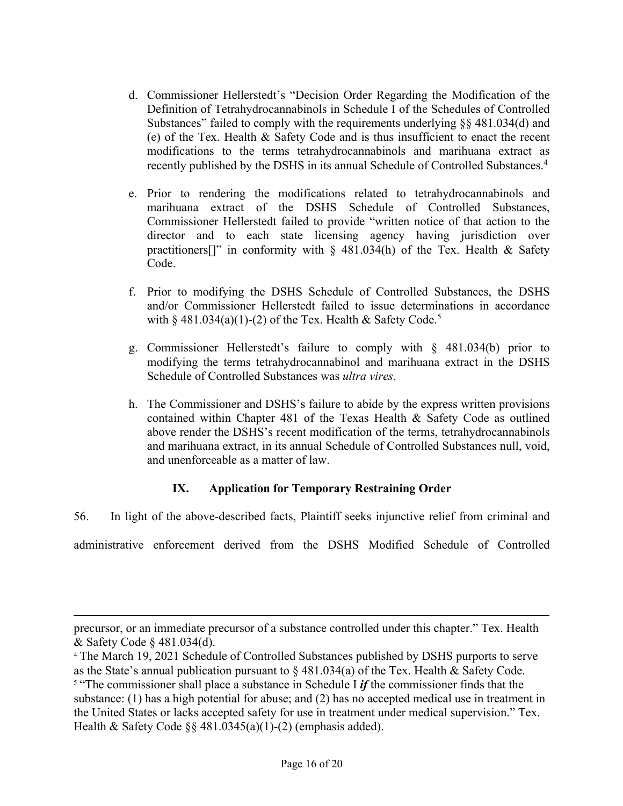- d. Commissioner Hellerstedt's "Decision Order Regarding the Modification of the Definition of Tetrahydrocannabinols in Schedule I of the Schedules of Controlled Substances" failed to comply with the requirements underlying §§ 481.034(d) and (e) of the Tex. Health & Safety Code and is thus insufficient to enact the recent modifications to the terms tetrahydrocannabinols and marihuana extract as recently published by the DSHS in its annual Schedule of Controlled Substances. 4
- e. Prior to rendering the modifications related to tetrahydrocannabinols and marihuana extract of the DSHS Schedule of Controlled Substances, Commissioner Hellerstedt failed to provide "written notice of that action to the director and to each state licensing agency having jurisdiction over practitioners<sup>[]"</sup> in conformity with  $\S$  481.034(h) of the Tex. Health & Safety Code.
- f. Prior to modifying the DSHS Schedule of Controlled Substances, the DSHS and/or Commissioner Hellerstedt failed to issue determinations in accordance with  $\S$  481.034(a)(1)-(2) of the Tex. Health & Safety Code.<sup>5</sup>
- g. Commissioner Hellerstedt's failure to comply with § 481.034(b) prior to modifying the terms tetrahydrocannabinol and marihuana extract in the DSHS Schedule of Controlled Substances was *ultra vires*.
- h. The Commissioner and DSHS's failure to abide by the express written provisions contained within Chapter 481 of the Texas Health & Safety Code as outlined above render the DSHS's recent modification of the terms, tetrahydrocannabinols and marihuana extract, in its annual Schedule of Controlled Substances null, void, and unenforceable as a matter of law.

# **IX. Application for Temporary Restraining Order**

56. In light of the above-described facts, Plaintiff seeks injunctive relief from criminal and administrative enforcement derived from the DSHS Modified Schedule of Controlled

precursor, or an immediate precursor of a substance controlled under this chapter." Tex. Health & Safety Code § 481.034(d). 4 The March 19, 2021 Schedule of Controlled Substances published by DSHS purports to serve

as the State's annual publication pursuant to  $\S$  481.034(a) of the Tex. Health & Safety Code. <sup>5</sup> "The commissioner shall place a substance in Schedule I *if* the commissioner finds that the substance: (1) has a high potential for abuse; and (2) has no accepted medical use in treatment in the United States or lacks accepted safety for use in treatment under medical supervision." Tex. Health & Safety Code  $\S$ § 481.0345(a)(1)-(2) (emphasis added).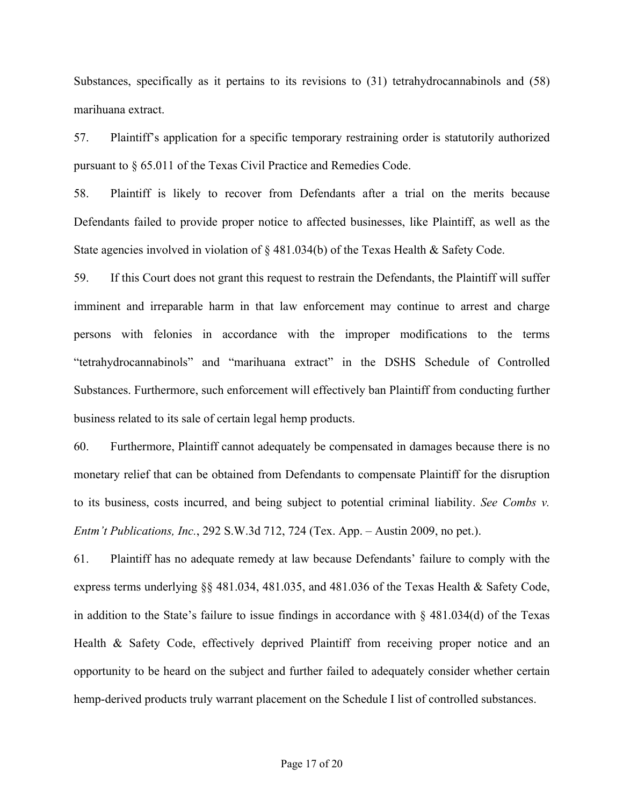Substances, specifically as it pertains to its revisions to (31) tetrahydrocannabinols and (58) marihuana extract.

57. Plaintiff's application for a specific temporary restraining order is statutorily authorized pursuant to § 65.011 of the Texas Civil Practice and Remedies Code.

58. Plaintiff is likely to recover from Defendants after a trial on the merits because Defendants failed to provide proper notice to affected businesses, like Plaintiff, as well as the State agencies involved in violation of  $\S$  481.034(b) of the Texas Health & Safety Code.

59. If this Court does not grant this request to restrain the Defendants, the Plaintiff will suffer imminent and irreparable harm in that law enforcement may continue to arrest and charge persons with felonies in accordance with the improper modifications to the terms "tetrahydrocannabinols" and "marihuana extract" in the DSHS Schedule of Controlled Substances. Furthermore, such enforcement will effectively ban Plaintiff from conducting further business related to its sale of certain legal hemp products.

60. Furthermore, Plaintiff cannot adequately be compensated in damages because there is no monetary relief that can be obtained from Defendants to compensate Plaintiff for the disruption to its business, costs incurred, and being subject to potential criminal liability. *See Combs v. Entm't Publications, Inc.*, 292 S.W.3d 712, 724 (Tex. App. – Austin 2009, no pet.).

61. Plaintiff has no adequate remedy at law because Defendants' failure to comply with the express terms underlying §§ 481.034, 481.035, and 481.036 of the Texas Health & Safety Code, in addition to the State's failure to issue findings in accordance with  $\S$  481.034(d) of the Texas Health & Safety Code, effectively deprived Plaintiff from receiving proper notice and an opportunity to be heard on the subject and further failed to adequately consider whether certain hemp-derived products truly warrant placement on the Schedule I list of controlled substances.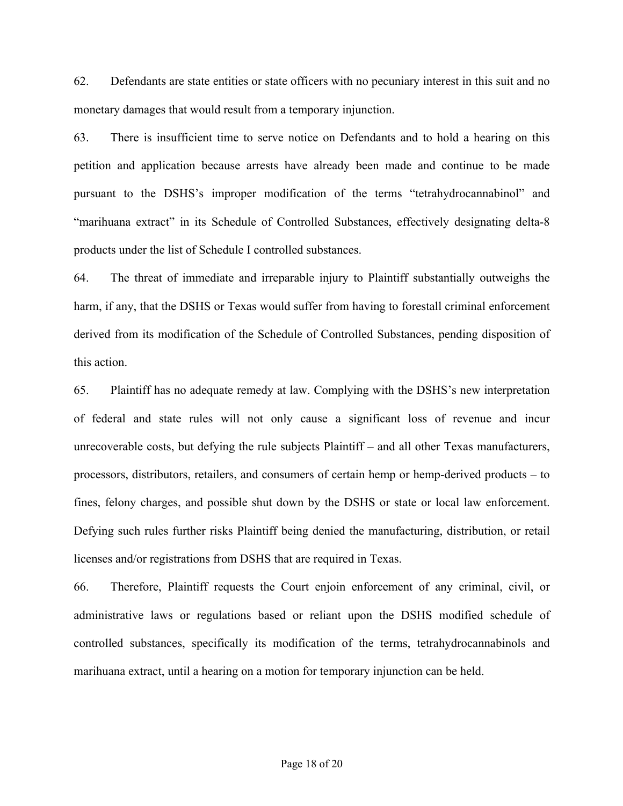62. Defendants are state entities or state officers with no pecuniary interest in this suit and no monetary damages that would result from a temporary injunction.

63. There is insufficient time to serve notice on Defendants and to hold a hearing on this petition and application because arrests have already been made and continue to be made pursuant to the DSHS's improper modification of the terms "tetrahydrocannabinol" and "marihuana extract" in its Schedule of Controlled Substances, effectively designating delta-8 products under the list of Schedule I controlled substances.

64. The threat of immediate and irreparable injury to Plaintiff substantially outweighs the harm, if any, that the DSHS or Texas would suffer from having to forestall criminal enforcement derived from its modification of the Schedule of Controlled Substances, pending disposition of this action.

65. Plaintiff has no adequate remedy at law. Complying with the DSHS's new interpretation of federal and state rules will not only cause a significant loss of revenue and incur unrecoverable costs, but defying the rule subjects Plaintiff – and all other Texas manufacturers, processors, distributors, retailers, and consumers of certain hemp or hemp-derived products – to fines, felony charges, and possible shut down by the DSHS or state or local law enforcement. Defying such rules further risks Plaintiff being denied the manufacturing, distribution, or retail licenses and/or registrations from DSHS that are required in Texas.

66. Therefore, Plaintiff requests the Court enjoin enforcement of any criminal, civil, or administrative laws or regulations based or reliant upon the DSHS modified schedule of controlled substances, specifically its modification of the terms, tetrahydrocannabinols and marihuana extract, until a hearing on a motion for temporary injunction can be held.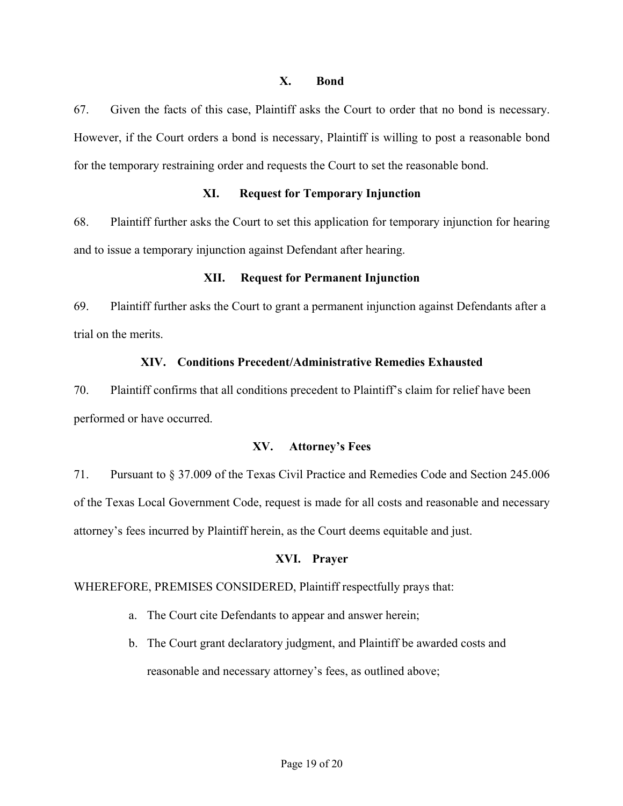### **X. Bond**

67. Given the facts of this case, Plaintiff asks the Court to order that no bond is necessary. However, if the Court orders a bond is necessary, Plaintiff is willing to post a reasonable bond for the temporary restraining order and requests the Court to set the reasonable bond.

# **XI. Request for Temporary Injunction**

68. Plaintiff further asks the Court to set this application for temporary injunction for hearing and to issue a temporary injunction against Defendant after hearing.

# **XII. Request for Permanent Injunction**

69. Plaintiff further asks the Court to grant a permanent injunction against Defendants after a trial on the merits.

# **XIV. Conditions Precedent/Administrative Remedies Exhausted**

70. Plaintiff confirms that all conditions precedent to Plaintiff's claim for relief have been performed or have occurred.

# **XV. Attorney's Fees**

71. Pursuant to § 37.009 of the Texas Civil Practice and Remedies Code and Section 245.006 of the Texas Local Government Code, request is made for all costs and reasonable and necessary attorney's fees incurred by Plaintiff herein, as the Court deems equitable and just.

# **XVI. Prayer**

# WHEREFORE, PREMISES CONSIDERED, Plaintiff respectfully prays that:

- a. The Court cite Defendants to appear and answer herein;
- b. The Court grant declaratory judgment, and Plaintiff be awarded costs and reasonable and necessary attorney's fees, as outlined above;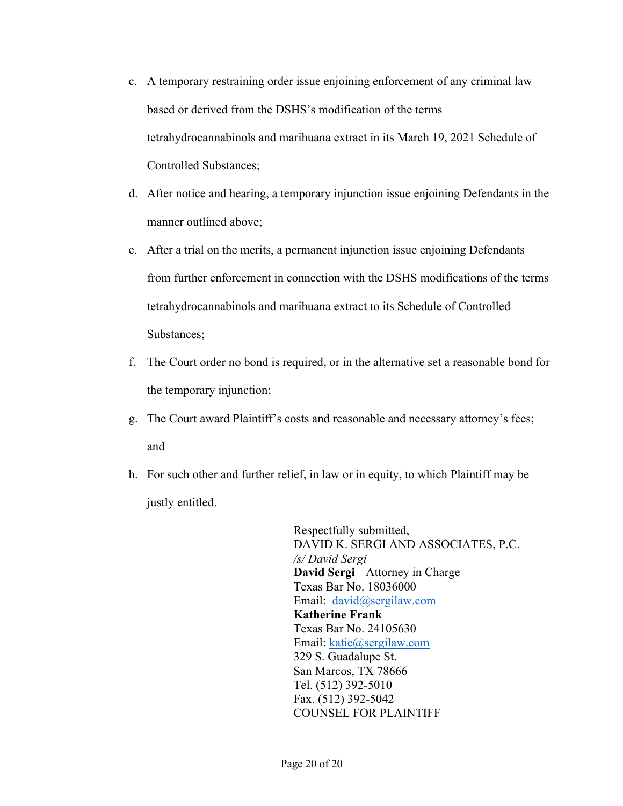- c. A temporary restraining order issue enjoining enforcement of any criminal law based or derived from the DSHS's modification of the terms tetrahydrocannabinols and marihuana extract in its March 19, 2021 Schedule of Controlled Substances;
- d. After notice and hearing, a temporary injunction issue enjoining Defendants in the manner outlined above;
- e. After a trial on the merits, a permanent injunction issue enjoining Defendants from further enforcement in connection with the DSHS modifications of the terms tetrahydrocannabinols and marihuana extract to its Schedule of Controlled Substances;
- f. The Court order no bond is required, or in the alternative set a reasonable bond for the temporary injunction;
- g. The Court award Plaintiff's costs and reasonable and necessary attorney's fees; and
- h. For such other and further relief, in law or in equity, to which Plaintiff may be justly entitled.

Respectfully submitted, DAVID K. SERGI AND ASSOCIATES, P.C. */s/ David Sergi* **David Sergi** – Attorney in Charge Texas Bar No. 18036000 Email: david@sergilaw.com **Katherine Frank** Texas Bar No. 24105630 Email: katie@sergilaw.com 329 S. Guadalupe St. San Marcos, TX 78666 Tel. (512) 392-5010 Fax. (512) 392-5042 COUNSEL FOR PLAINTIFF